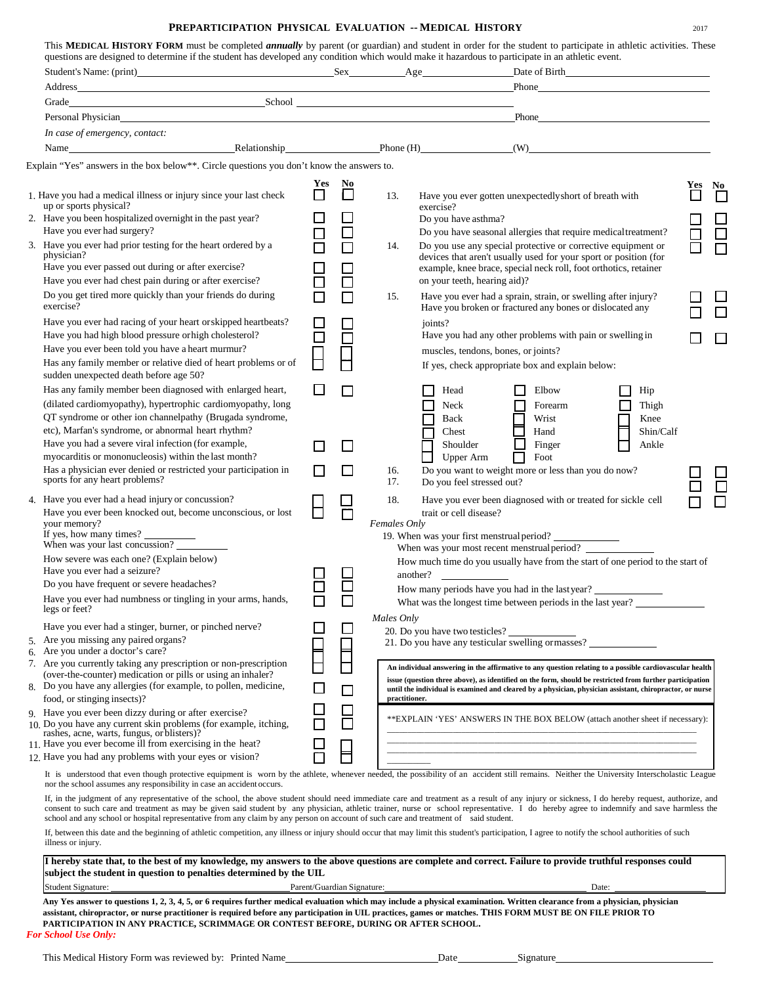## **PREPARTICIPATION PHYSICAL EVALUATION -- MEDICAL HISTORY** <sup>2017</sup>

| Grade School School School School School School School School School School School School School School School                                                                                                                               |                            |         |                            |                                                                                                                                                                                                                                                                                                                                                                                            |        |
|----------------------------------------------------------------------------------------------------------------------------------------------------------------------------------------------------------------------------------------------|----------------------------|---------|----------------------------|--------------------------------------------------------------------------------------------------------------------------------------------------------------------------------------------------------------------------------------------------------------------------------------------------------------------------------------------------------------------------------------------|--------|
| Personal Physician and Communication of the Communication of the Communication of the Communication of the Communication of the Communication of the Communication of the Communication of the Communication of the Communicat               |                            |         |                            | Phone <u>example and the set of the set of the set of the set of the set of the set of the set of the set of the set of the set of the set of the set of the set of the set of the set of the set of the set of the set of the s</u>                                                                                                                                                       |        |
| In case of emergency, contact:                                                                                                                                                                                                               |                            |         |                            |                                                                                                                                                                                                                                                                                                                                                                                            |        |
| Name                                                                                                                                                                                                                                         |                            |         |                            | Relationship Phone (H) (W) (W)                                                                                                                                                                                                                                                                                                                                                             |        |
| Explain "Yes" answers in the box below**. Circle questions you don't know the answers to.                                                                                                                                                    |                            |         |                            |                                                                                                                                                                                                                                                                                                                                                                                            |        |
|                                                                                                                                                                                                                                              |                            |         |                            |                                                                                                                                                                                                                                                                                                                                                                                            |        |
| 1. Have you had a medical illness or injury since your last check<br>up or sports physical?                                                                                                                                                  | <b>Yes</b>                 | No<br>ப | 13.                        | Have you ever gotten unexpectedly short of breath with<br>exercise?                                                                                                                                                                                                                                                                                                                        | Yes No |
| 2. Have you been hospitalized overnight in the past year?<br>Have you ever had surgery?                                                                                                                                                      | $\Box$                     | $\Box$  |                            | Do you have asthma?<br>Do you have seasonal allergies that require medical treatment?                                                                                                                                                                                                                                                                                                      |        |
| 3. Have you ever had prior testing for the heart ordered by a<br>physician?<br>Have you ever passed out during or after exercise?                                                                                                            | ⊔                          | $\Box$  | 14.                        | Do you use any special protective or corrective equipment or<br>devices that aren't usually used for your sport or position (for<br>example, knee brace, special neck roll, foot orthotics, retainer                                                                                                                                                                                       |        |
| Have you ever had chest pain during or after exercise?                                                                                                                                                                                       |                            | $\Box$  |                            | on your teeth, hearing aid)?                                                                                                                                                                                                                                                                                                                                                               |        |
| Do you get tired more quickly than your friends do during<br>exercise?                                                                                                                                                                       |                            | $\Box$  | 15.                        | Have you ever had a sprain, strain, or swelling after injury?<br>Have you broken or fractured any bones or dislocated any                                                                                                                                                                                                                                                                  |        |
| Have you ever had racing of your heart or skipped heartbeats?<br>Have you had high blood pressure or high cholesterol?<br>Have you ever been told you have a heart murmur?<br>Has any family member or relative died of heart problems or of | $\Box$<br>司                | □       | joints?                    | Have you had any other problems with pain or swelling in<br>muscles, tendons, bones, or joints?                                                                                                                                                                                                                                                                                            |        |
| sudden unexpected death before age 50?                                                                                                                                                                                                       |                            |         |                            | If yes, check appropriate box and explain below:                                                                                                                                                                                                                                                                                                                                           |        |
| Has any family member been diagnosed with enlarged heart,<br>(dilated cardiomyopathy), hypertrophic cardiomyopathy, long<br>QT syndrome or other ion channelpathy (Brugada syndrome,<br>etc), Marfan's syndrome, or abnormal heart rhythm?   |                            | П       |                            | Elbow<br>Head<br>Hip<br>Neck<br>Thigh<br>Forearm<br>Wrist<br>Knee<br>Back<br>Hand<br>Chest<br>Shin/Calf                                                                                                                                                                                                                                                                                    |        |
| Have you had a severe viral infection (for example,<br>myocarditis or mononucleosis) within the last month?                                                                                                                                  |                            | $\Box$  |                            | n<br>Finger<br>Shoulder<br>Ankle<br>Foot<br><b>Upper Arm</b><br>П                                                                                                                                                                                                                                                                                                                          |        |
| Has a physician ever denied or restricted your participation in<br>sports for any heart problems?                                                                                                                                            |                            | П       | 16.<br>17.                 | Do you want to weight more or less than you do now?<br>Do you feel stressed out?                                                                                                                                                                                                                                                                                                           |        |
| 4. Have you ever had a head injury or concussion?<br>Have you ever been knocked out, become unconscious, or lost<br>your memory?<br>If yes, how many times?                                                                                  |                            |         | 18.<br><b>Females Only</b> | Have you ever been diagnosed with or treated for sickle cell<br>trait or cell disease?                                                                                                                                                                                                                                                                                                     |        |
| When was your last concussion?                                                                                                                                                                                                               |                            |         |                            | 19. When was your first menstrual period?                                                                                                                                                                                                                                                                                                                                                  |        |
| How severe was each one? (Explain below)                                                                                                                                                                                                     |                            |         |                            | How much time do you usually have from the start of one period to the start of                                                                                                                                                                                                                                                                                                             |        |
| Have you ever had a seizure?                                                                                                                                                                                                                 |                            |         |                            | another?                                                                                                                                                                                                                                                                                                                                                                                   |        |
| Do you have frequent or severe headaches?                                                                                                                                                                                                    |                            |         |                            | How many periods have you had in the lastyear?                                                                                                                                                                                                                                                                                                                                             |        |
| Have you ever had numbness or tingling in your arms, hands,<br>legs or feet?                                                                                                                                                                 |                            | ┕       |                            | What was the longest time between periods in the last year?                                                                                                                                                                                                                                                                                                                                |        |
|                                                                                                                                                                                                                                              |                            |         | Males Only                 |                                                                                                                                                                                                                                                                                                                                                                                            |        |
| Have you ever had a stinger, burner, or pinched nerve?<br>5. Are you missing any paired organs?<br>6. Are you under a doctor's care?                                                                                                         |                            | $\sim$  |                            | 20. Do you have two testicles?<br>21. Do you have any testicular swelling or masses?                                                                                                                                                                                                                                                                                                       |        |
| 7. Are you currently taking any prescription or non-prescription<br>(over-the-counter) medication or pills or using an inhaler?<br>8. Do you have any allergies (for example, to pollen, medicine,                                           |                            | $\Box$  |                            | An individual answering in the affirmative to any question relating to a possible cardiovascular health<br>issue (question three above), as identified on the form, should be restricted from further participation<br>until the individual is examined and cleared by a physician, physician assistant, chiropractor, or nurse                                                            |        |
| food, or stinging insects)?<br>9. Have you ever been dizzy during or after exercise?                                                                                                                                                         |                            | $\Box$  | practitioner.              |                                                                                                                                                                                                                                                                                                                                                                                            |        |
| 10. Do you have any current skin problems (for example, itching,<br>rashes, acne, warts, fungus, or blisters)?<br>11. Have you ever become ill from exercising in the heat?                                                                  |                            |         |                            | ** EXPLAIN 'YES' ANSWERS IN THE BOX BELOW (attach another sheet if necessary):                                                                                                                                                                                                                                                                                                             |        |
| 12. Have you had any problems with your eyes or vision?                                                                                                                                                                                      |                            | Ħ       |                            |                                                                                                                                                                                                                                                                                                                                                                                            |        |
| nor the school assumes any responsibility in case an accident occurs.                                                                                                                                                                        |                            |         |                            | It is understood that even though protective equipment is worn by the athlete, whenever needed, the possibility of an accident still remains. Neither the University Interscholastic League                                                                                                                                                                                                |        |
| school and any school or hospital representative from any claim by any person on account of such care and treatment of said student.                                                                                                         |                            |         |                            | If, in the judgment of any representative of the school, the above student should need immediate care and treatment as a result of any injury or sickness, I do hereby request, authorize, and<br>consent to such care and treatment as may be given said student by any physician, athletic trainer, nurse or school representative. I do hereby agree to indemnify and save harmless the |        |
| illness or injury.                                                                                                                                                                                                                           |                            |         |                            | If, between this date and the beginning of athletic competition, any illness or injury should occur that may limit this student's participation, I agree to notify the school authorities of such                                                                                                                                                                                          |        |
| subject the student in question to penalties determined by the UIL                                                                                                                                                                           |                            |         |                            | I hereby state that, to the best of my knowledge, my answers to the above questions are complete and correct. Failure to provide truthful responses could                                                                                                                                                                                                                                  |        |
| Student Signature:                                                                                                                                                                                                                           | Parent/Guardian Signature: |         |                            | Date:                                                                                                                                                                                                                                                                                                                                                                                      |        |

Any Yes answer to questions 1, 2, 3, 4, 5, or 6 requires further medical evaluation which may include a physical examination. Written clearance from a physician, physician **assistant, chiropractor, or nurse practitioner is required before any participation in UIL practices, games or matches. THIS FORM MUST BE ON FILE PRIOR TO PARTICIPATION IN ANY PRACTICE, SCRIMMAGE OR CONTEST BEFORE, DURING OR AFTER SCHOOL.**

*For School Use Only:*

| ato |  |
|-----|--|
|-----|--|

| This MEDICAL HISTORY FORM must be completed <i>annually</i> by parent (or guardian) and student in order for the student to participate in athletic activities. These |  |
|-----------------------------------------------------------------------------------------------------------------------------------------------------------------------|--|
| questions are designed to determine if the student has developed any condition which would make it hazardous to participate in an athletic event.                     |  |